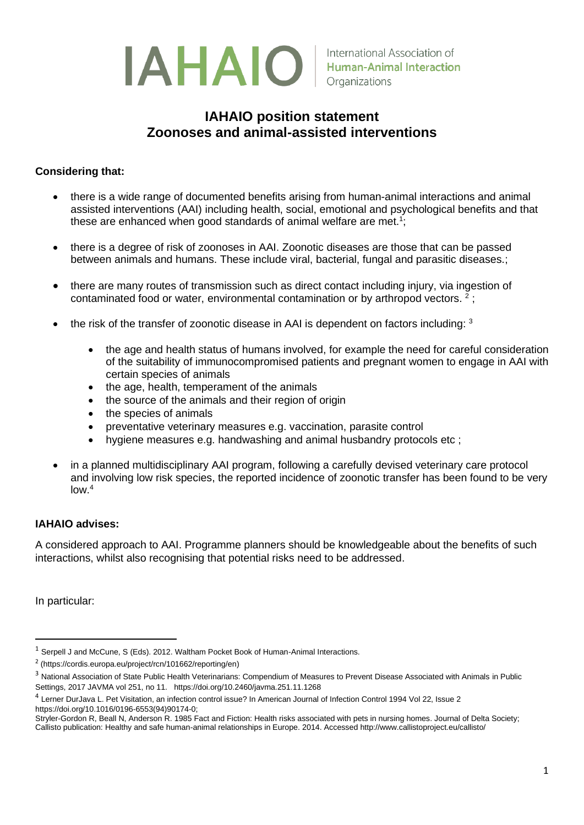

## **IAHAIO position statement Zoonoses and animal-assisted interventions**

## **Considering that:**

- there is a wide range of documented benefits arising from human-animal interactions and animal assisted interventions (AAI) including health, social, emotional and psychological benefits and that these are enhanced when good standards of animal welfare are met.<sup>1</sup>;
- there is a degree of risk of zoonoses in AAI. Zoonotic diseases are those that can be passed between animals and humans. These include viral, bacterial, fungal and parasitic diseases.;
- there are many routes of transmission such as direct contact including injury, via ingestion of contaminated food or water, environmental contamination or by arthropod vectors.  $2$ ;
- $\bullet$  the risk of the transfer of zoonotic disease in AAI is dependent on factors including:  $^3$ 
	- the age and health status of humans involved, for example the need for careful consideration of the suitability of immunocompromised patients and pregnant women to engage in AAI with certain species of animals
	- the age, health, temperament of the animals
	- the source of the animals and their region of origin
	- the species of animals
	- preventative veterinary measures e.g. vaccination, parasite control
	- hygiene measures e.g. handwashing and animal husbandry protocols etc ;
- in a planned multidisciplinary AAI program, following a carefully devised veterinary care protocol and involving low risk species, the reported incidence of zoonotic transfer has been found to be very low.<sup>4</sup>

## **IAHAIO advises:**

A considered approach to AAI. Programme planners should be knowledgeable about the benefits of such interactions, whilst also recognising that potential risks need to be addressed.

In particular:

<sup>&</sup>lt;sup>1</sup> Serpell J and McCune, S (Eds). 2012. Waltham Pocket Book of Human-Animal Interactions.

<sup>2</sup> [\(https://cordis.europa.eu/project/rcn/101662/reporting/en\)](https://cordis.europa.eu/project/rcn/101662/reporting/en)

<sup>&</sup>lt;sup>3</sup> National Association of State Public Health Veterinarians: Compendium of Measures to Prevent Disease Associated with Animals in Public Settings, 2017 JAVMA vol 251, no 11. <https://doi.org/10.2460/javma.251.11.1268>

<sup>4</sup> Lerner DurJava L. Pet Visitation, an infection control issue? In American Journal of Infection Control 1994 Vol 22, Issue 2 [https://doi.org/10.1016/0196-6553\(94\)90174-0;](https://doi.org/10.1016/0196-6553(94)90174-0) 

Stryler-Gordon R, Beall N, Anderson R. 1985 Fact and Fiction: Health risks associated with pets in nursing homes. Journal of Delta Society; Callisto publication: Healthy and safe human-animal relationships in Europe. 2014. Accessed http://www.callistoproject.eu/callisto/